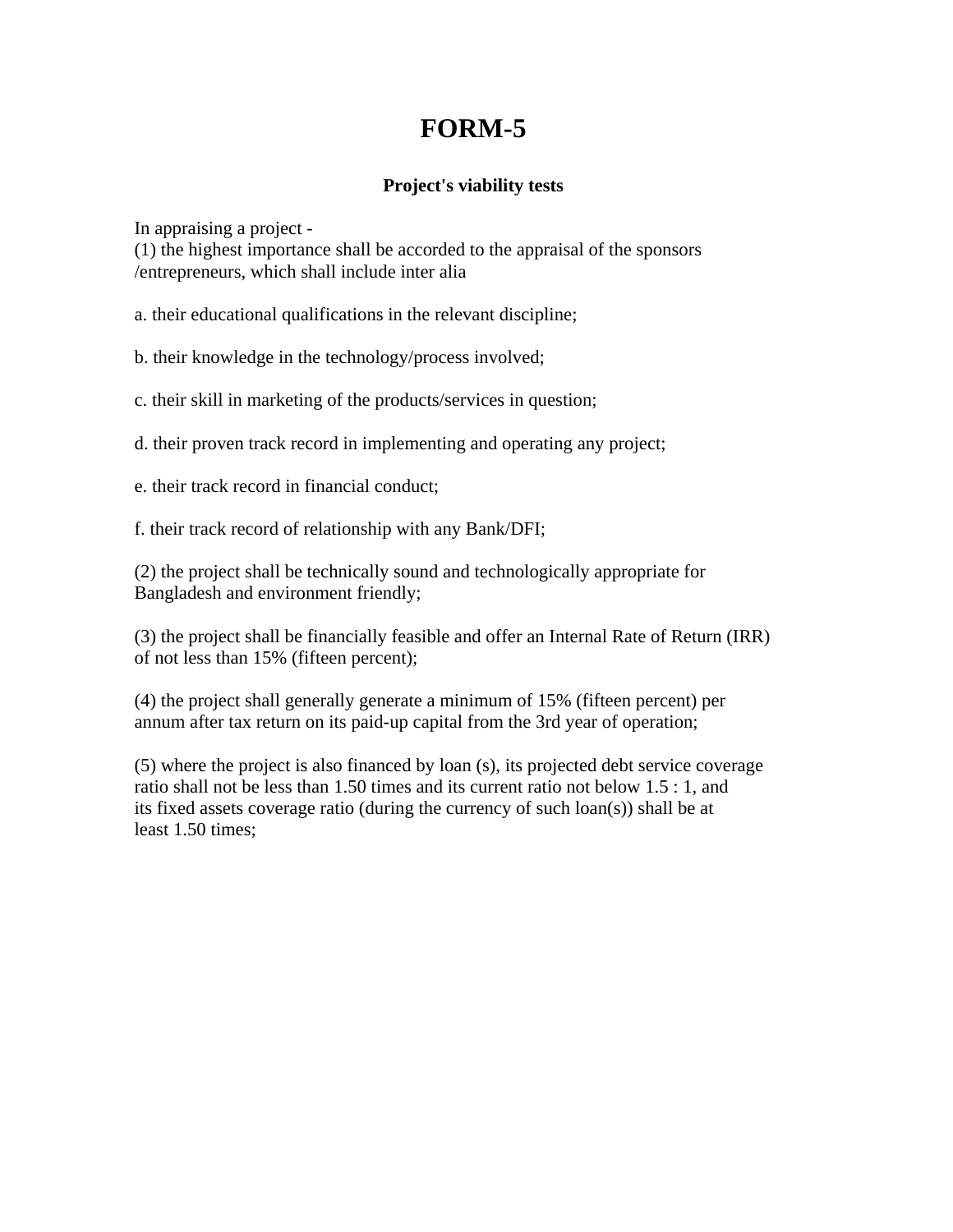## **FORM-5**

## **Project's viability tests**

In appraising a project -

(1) the highest importance shall be accorded to the appraisal of the sponsors /entrepreneurs, which shall include inter alia

a. their educational qualifications in the relevant discipline;

b. their knowledge in the technology/process involved;

c. their skill in marketing of the products/services in question;

d. their proven track record in implementing and operating any project;

e. their track record in financial conduct;

f. their track record of relationship with any Bank/DFI;

(2) the project shall be technically sound and technologically appropriate for Bangladesh and environment friendly;

(3) the project shall be financially feasible and offer an Internal Rate of Return (IRR) of not less than 15% (fifteen percent);

(4) the project shall generally generate a minimum of 15% (fifteen percent) per annum after tax return on its paid-up capital from the 3rd year of operation;

(5) where the project is also financed by loan (s), its projected debt service coverage ratio shall not be less than 1.50 times and its current ratio not below 1.5 : 1, and its fixed assets coverage ratio (during the currency of such loan(s)) shall be at least 1.50 times;